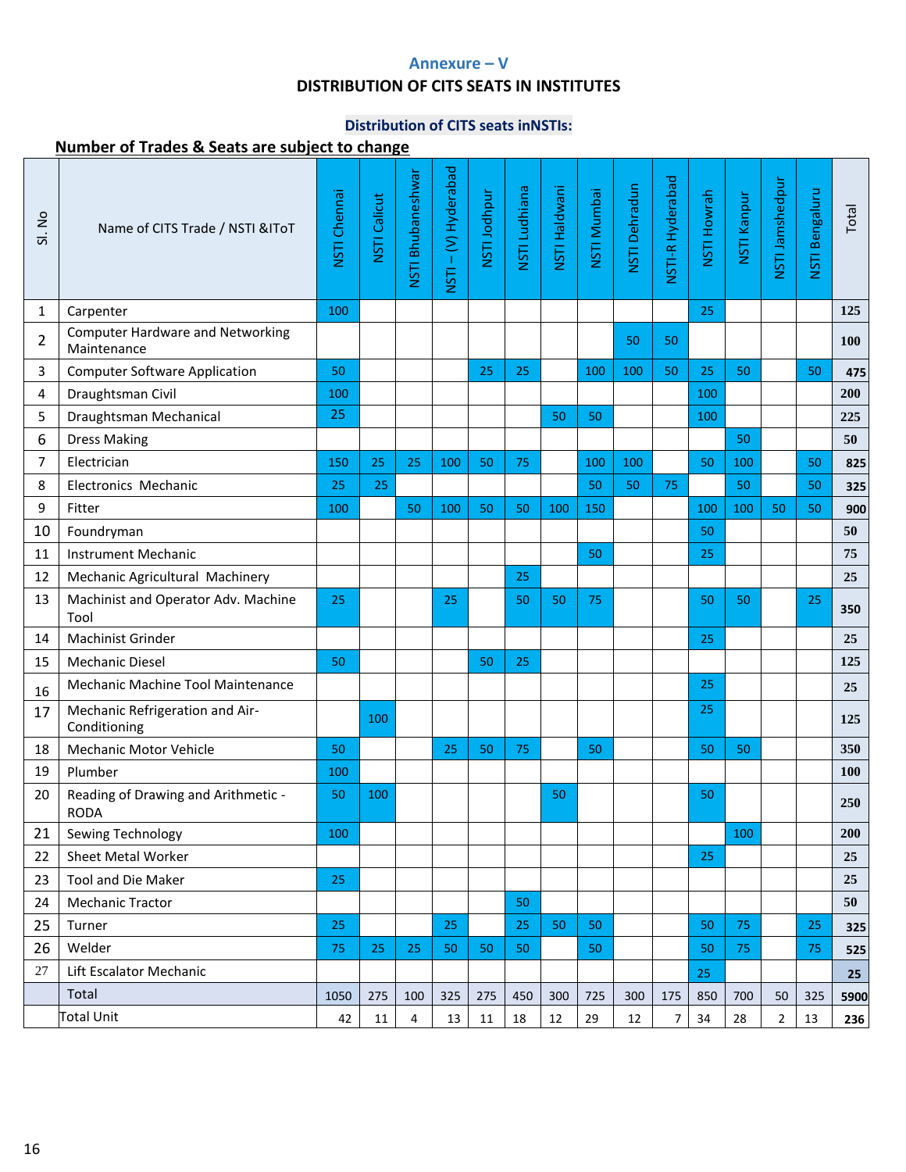# **Annexure – V**

### **DISTRIBUTION OF CITS SEATS IN INSTITUTES**

# **Distribution of CITS seats inNSTIs:**

| SI. No         | Name of CITS Trade / NSTI & IToT                       | NSTI Chennai | <b>NSTI Calicut</b> | NSTI Bhubaneshwar | - (V) Hyderabad<br>NSTI | NSTI Jodhpur | NSTI Ludhiana | NSTI Haldwani | <b>NSTI Mumbai</b> | NSTI Dehradun | NSTI-R Hyderabad | <b>NSTI Howrah</b> | NSTI Kanpur | NSTI Jamshedpur | NSTI Bengaluru | Total |
|----------------|--------------------------------------------------------|--------------|---------------------|-------------------|-------------------------|--------------|---------------|---------------|--------------------|---------------|------------------|--------------------|-------------|-----------------|----------------|-------|
| 1              | Carpenter                                              | 100          |                     |                   |                         |              |               |               |                    |               |                  | 25                 |             |                 |                | 125   |
| $\overline{2}$ | <b>Computer Hardware and Networking</b><br>Maintenance |              |                     |                   |                         |              |               |               |                    | 50            | 50               |                    |             |                 |                | 100   |
| 3              | <b>Computer Software Application</b>                   | 50           |                     |                   |                         | 25           | 25            |               | 100                | 100           | 50               | 25                 | 50          |                 | 50             | 475   |
| 4              | Draughtsman Civil                                      | 100          |                     |                   |                         |              |               |               |                    |               |                  | 100                |             |                 |                | 200   |
| 5              | Draughtsman Mechanical                                 | 25           |                     |                   |                         |              |               | 50            | 50                 |               |                  | 100                |             |                 |                | 225   |
| 6              | <b>Dress Making</b>                                    |              |                     |                   |                         |              |               |               |                    |               |                  |                    | 50          |                 |                | 50    |
| 7              | Electrician                                            | 150          | 25                  | 25                | 100                     | 50           | 75            |               | 100                | 100           |                  | 50                 | 100         |                 | 50             | 825   |
| 8              | Electronics Mechanic                                   | 25           | 25                  |                   |                         |              |               |               | 50                 | 50            | 75               |                    | 50          |                 | 50             | 325   |
| 9              | Fitter                                                 | 100          |                     | 50                | 100                     | 50           | 50            | 100           | 150                |               |                  | 100                | 100         | 50              | 50             | 900   |
| 10             | Foundryman                                             |              |                     |                   |                         |              |               |               |                    |               |                  | 50                 |             |                 |                | 50    |
| 11             | <b>Instrument Mechanic</b>                             |              |                     |                   |                         |              |               |               | 50                 |               |                  | 25                 |             |                 |                | 75    |
| 12             | Mechanic Agricultural Machinery                        |              |                     |                   |                         |              | 25            |               |                    |               |                  |                    |             |                 |                | 25    |
| 13             | Machinist and Operator Adv. Machine<br>Tool            | 25           |                     |                   | 25                      |              | 50            | 50            | 75                 |               |                  | 50                 | 50          |                 | 25             | 350   |
| 14             | <b>Machinist Grinder</b>                               |              |                     |                   |                         |              |               |               |                    |               |                  | 25                 |             |                 |                | 25    |
| 15             | <b>Mechanic Diesel</b>                                 | 50           |                     |                   |                         | 50           | 25            |               |                    |               |                  |                    |             |                 |                | 125   |
| 16             | Mechanic Machine Tool Maintenance                      |              |                     |                   |                         |              |               |               |                    |               |                  | 25                 |             |                 |                | 25    |
| 17             | Mechanic Refrigeration and Air-<br>Conditioning        |              | 100                 |                   |                         |              |               |               |                    |               |                  | 25                 |             |                 |                | 125   |
| 18             | <b>Mechanic Motor Vehicle</b>                          | 50           |                     |                   | 25                      | 50           | 75            |               | 50                 |               |                  | 50                 | 50          |                 |                | 350   |
| 19             | Plumber                                                | 100          |                     |                   |                         |              |               |               |                    |               |                  |                    |             |                 |                | 100   |
| 20             | Reading of Drawing and Arithmetic -<br><b>RODA</b>     | 50           | 100                 |                   |                         |              |               | 50            |                    |               |                  | 50                 |             |                 |                | 250   |
| 21             | Sewing Technology                                      | 100          |                     |                   |                         |              |               |               |                    |               |                  |                    | 100         |                 |                | 200   |
| 22             | Sheet Metal Worker                                     |              |                     |                   |                         |              |               |               |                    |               |                  | 25                 |             |                 |                | 25    |
| 23             | <b>Tool and Die Maker</b>                              | 25           |                     |                   |                         |              |               |               |                    |               |                  |                    |             |                 |                | 25    |
| 24             | <b>Mechanic Tractor</b>                                |              |                     |                   |                         |              | 50            |               |                    |               |                  |                    |             |                 |                | 50    |
| 25             | Turner                                                 | 25           |                     |                   | 25                      |              | 25            | 50            | 50                 |               |                  | 50                 | 75          |                 | 25             | 325   |
| 26             | Welder                                                 | 75           | 25                  | 25                | 50                      | 50           | 50            |               | 50                 |               |                  | 50                 | 75          |                 | 75             | 525   |
| 27             | Lift Escalator Mechanic                                |              |                     |                   |                         |              |               |               |                    |               |                  | 25                 |             |                 |                | 25    |
|                | Total                                                  | 1050         | 275                 | 100               | 325                     | 275          | 450           | 300           | 725                | 300           | 175              | 850                | 700         | 50              | 325            | 5900  |
|                | <b>Total Unit</b>                                      | 42           | 11                  | $\overline{4}$    | 13                      | 11           | $18\,$        | 12            | 29                 | 12            | 7                | 34                 | 28          | $\overline{2}$  | 13             | 236   |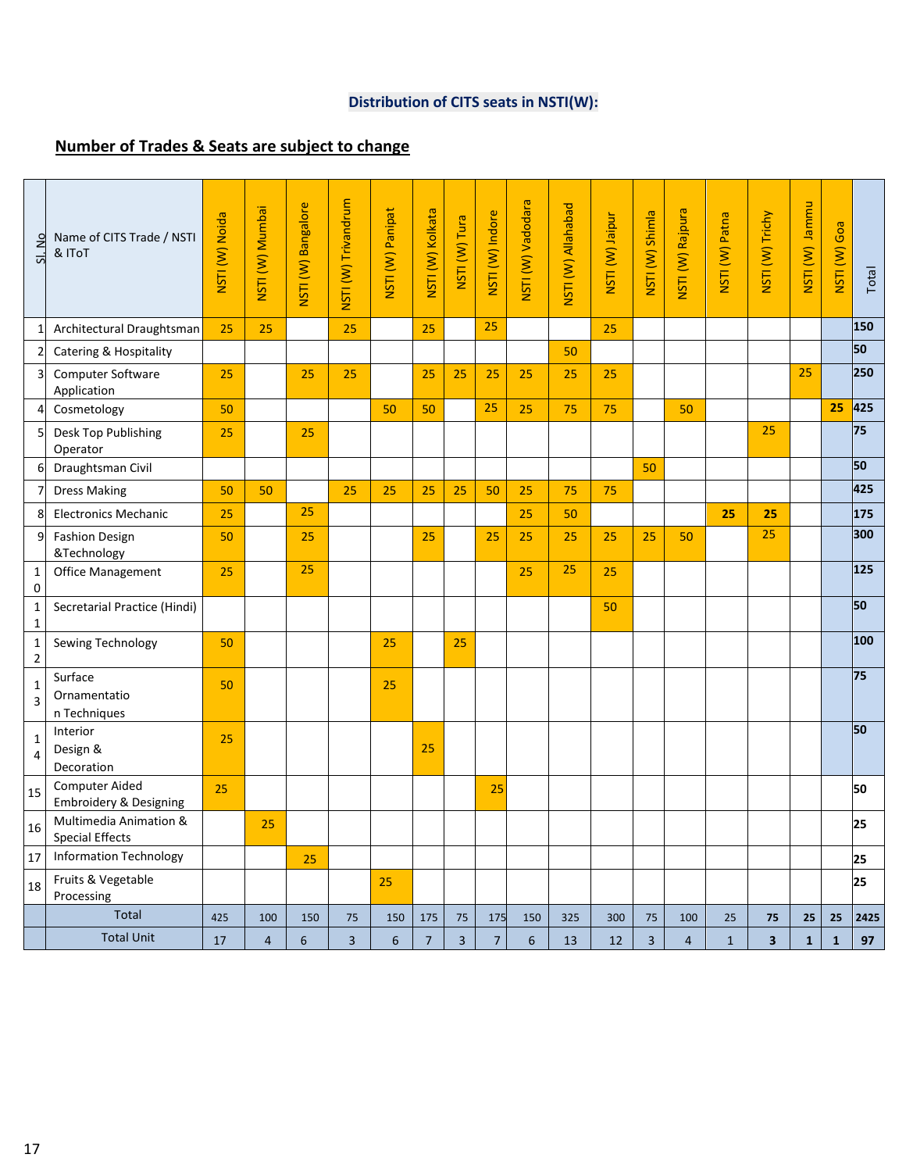# **Distribution of CITS seats in NSTI(W):**

| SI. No                  | Name of CITS Trade / NSTI<br>& IToT                        | NSTI (W) Noida | NSTI (W) Mumbai | NSTI (W) Bangalore | NSTI (W) Trivandrum     | NSTI (W) Panipat | NSTI (W) Kolkata | NSTI (W) Tura | NSTI (W) Indore | NSTI (W) Vadodara | NSTI (W) Allahabad | NSTI (W) Jaipur | NSTI (W) Shimla         | NSTI (W) Rajpura | NSTI (W) Patna | NSTI (W) Trichy         | <b>NSTI</b> (W) Jammu | NSTI (W) Goa | Total |
|-------------------------|------------------------------------------------------------|----------------|-----------------|--------------------|-------------------------|------------------|------------------|---------------|-----------------|-------------------|--------------------|-----------------|-------------------------|------------------|----------------|-------------------------|-----------------------|--------------|-------|
| $\mathbf{1}$            | Architectural Draughtsman                                  | 25             | 25              |                    | 25                      |                  | 25               |               | 25              |                   |                    | 25              |                         |                  |                |                         |                       |              | 150   |
| $\overline{2}$          | <b>Catering &amp; Hospitality</b>                          |                |                 |                    |                         |                  |                  |               |                 |                   | 50                 |                 |                         |                  |                |                         |                       |              | 50    |
| $\overline{\mathbf{3}}$ | Computer Software<br>Application                           | 25             |                 | 25                 | 25                      |                  | 25               | 25            | 25              | 25                | 25                 | 25              |                         |                  |                |                         | 25                    |              | 250   |
|                         | Cosmetology                                                | 50             |                 |                    |                         | 50               | 50               |               | 25              | 25                | 75                 | 75              |                         | 50               |                |                         |                       | 25           | 425   |
| 5                       | Desk Top Publishing<br>Operator                            | 25             |                 | 25                 |                         |                  |                  |               |                 |                   |                    |                 |                         |                  |                | 25                      |                       |              | 75    |
| 6                       | Draughtsman Civil                                          |                |                 |                    |                         |                  |                  |               |                 |                   |                    |                 | 50                      |                  |                |                         |                       |              | 50    |
| 7                       | <b>Dress Making</b>                                        | 50             | 50              |                    | 25                      | 25               | 25               | 25            | 50              | 25                | 75                 | 75              |                         |                  |                |                         |                       |              | 425   |
| 8                       | <b>Electronics Mechanic</b>                                | 25             |                 | 25                 |                         |                  |                  |               |                 | 25                | 50                 |                 |                         |                  | 25             | 25                      |                       |              | 175   |
| 9                       | <b>Fashion Design</b><br>&Technology                       | 50             |                 | 25                 |                         |                  | 25               |               | 25              | 25                | 25                 | 25              | 25                      | 50               |                | 25                      |                       |              | 300   |
| 1<br>0                  | <b>Office Management</b>                                   | 25             |                 | 25                 |                         |                  |                  |               |                 | 25                | 25                 | 25              |                         |                  |                |                         |                       |              | 125   |
| $\mathbf{1}$<br>1       | Secretarial Practice (Hindi)                               |                |                 |                    |                         |                  |                  |               |                 |                   |                    | 50              |                         |                  |                |                         |                       |              | 50    |
| 1<br>$\mathbf 2$        | Sewing Technology                                          | 50             |                 |                    |                         | 25               |                  | 25            |                 |                   |                    |                 |                         |                  |                |                         |                       |              | 100   |
| $\mathbf{1}$<br>3       | Surface<br>Ornamentatio<br>n Techniques                    | 50             |                 |                    |                         | 25               |                  |               |                 |                   |                    |                 |                         |                  |                |                         |                       |              | 75    |
| 1<br>$\overline{4}$     | Interior<br>Design &<br>Decoration                         | 25             |                 |                    |                         |                  | 25               |               |                 |                   |                    |                 |                         |                  |                |                         |                       |              | 50    |
| 15                      | <b>Computer Aided</b><br><b>Embroidery &amp; Designing</b> | 25             |                 |                    |                         |                  |                  |               | 25              |                   |                    |                 |                         |                  |                |                         |                       |              | 50    |
| 16                      | Multimedia Animation &<br><b>Special Effects</b>           |                | 25              |                    |                         |                  |                  |               |                 |                   |                    |                 |                         |                  |                |                         |                       |              | 25    |
| 17                      | <b>Information Technology</b>                              |                |                 | 25                 |                         |                  |                  |               |                 |                   |                    |                 |                         |                  |                |                         |                       |              | 25    |
| 18                      | Fruits & Vegetable<br>Processing                           |                |                 |                    |                         | 25               |                  |               |                 |                   |                    |                 |                         |                  |                |                         |                       |              | 25    |
|                         | <b>Total</b>                                               | 425            | 100             | 150                | 75                      | 150              | 175              | 75            | 175             | 150               | 325                | 300             | 75                      | 100              | 25             | 75                      | 25                    | 25           | 2425  |
|                         | <b>Total Unit</b>                                          | 17             | $\overline{4}$  | $6\phantom{1}$     | $\overline{\mathbf{3}}$ | $\boldsymbol{6}$ | $\overline{7}$   | 3             | $\overline{7}$  | 6                 | 13                 | 12              | $\overline{\mathbf{3}}$ | $\overline{4}$   | $\overline{1}$ | $\overline{\mathbf{3}}$ | $\mathbf{1}$          | $\mathbf{1}$ | 97    |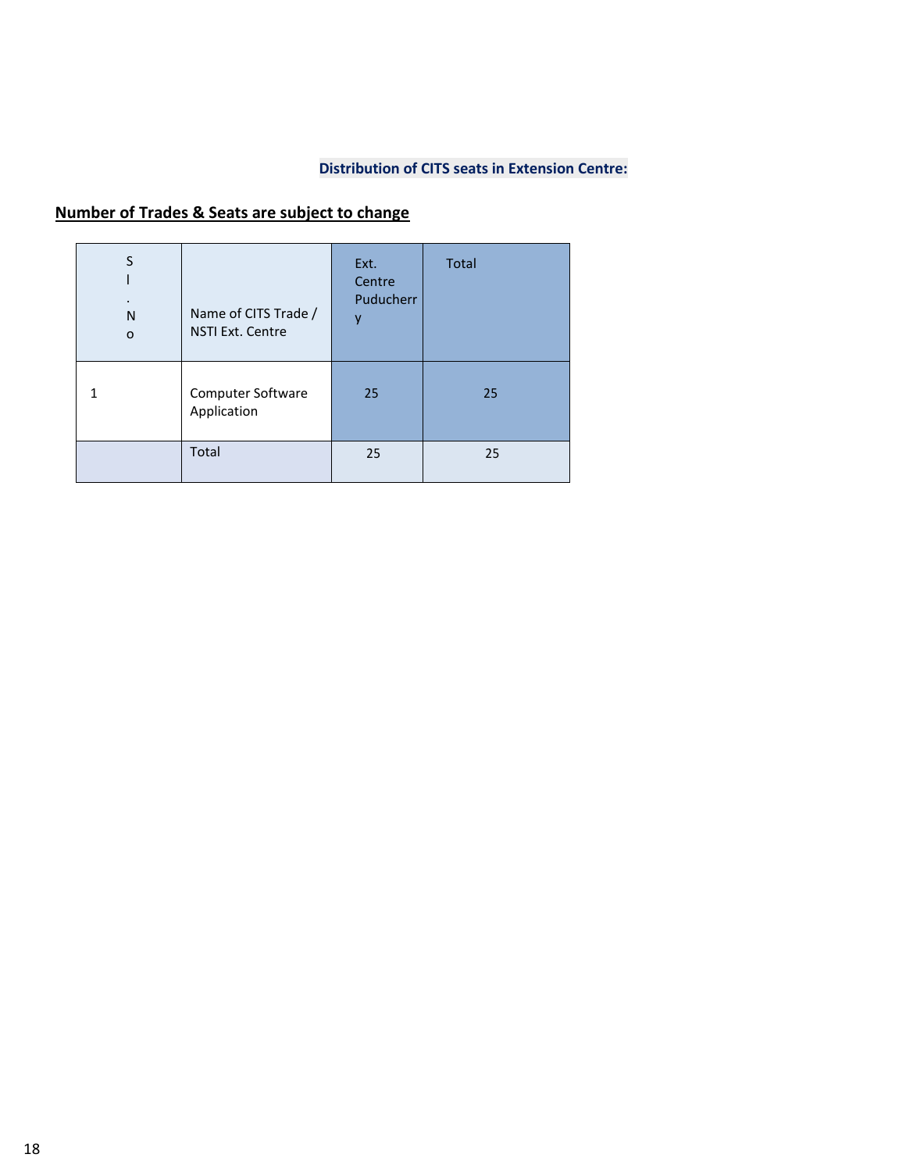#### **Distribution of CITS seats in Extension Centre:**

| S<br>N<br>$\circ$ | Name of CITS Trade /<br><b>NSTI Ext. Centre</b> | Ext.<br>Centre<br>Puducherr<br>٧ | <b>Total</b> |
|-------------------|-------------------------------------------------|----------------------------------|--------------|
| 1                 | Computer Software<br>Application                | 25                               | 25           |
|                   | Total                                           | 25                               | 25           |